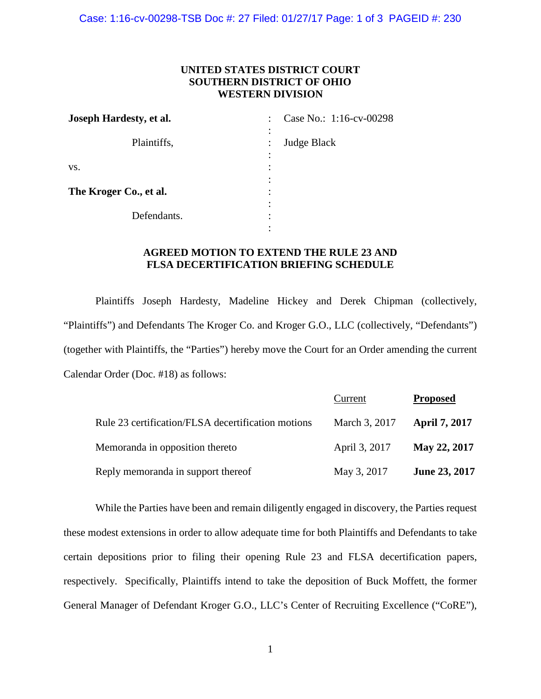Case: 1:16-cv-00298-TSB Doc #: 27 Filed: 01/27/17 Page: 1 of 3 PAGEID #: 230

## **UNITED STATES DISTRICT COURT SOUTHERN DISTRICT OF OHIO WESTERN DIVISION**

| Joseph Hardesty, et al. | Case No.: 1:16-cv-00298<br>$\bullet$<br>٠ |
|-------------------------|-------------------------------------------|
| Plaintiffs,             | $\bullet$<br><b>Judge Black</b><br>٠<br>٠ |
| VS.                     | ٠<br>٠<br>٠                               |
| The Kroger Co., et al.  | ٠<br>٠                                    |
| Defendants.             | ٠<br>٠<br>٠                               |
|                         |                                           |

## **AGREED MOTION TO EXTEND THE RULE 23 AND FLSA DECERTIFICATION BRIEFING SCHEDULE**

Plaintiffs Joseph Hardesty, Madeline Hickey and Derek Chipman (collectively, "Plaintiffs") and Defendants The Kroger Co. and Kroger G.O., LLC (collectively, "Defendants") (together with Plaintiffs, the "Parties") hereby move the Court for an Order amending the current Calendar Order (Doc. #18) as follows:

|                                                    | Current       | <b>Proposed</b>      |
|----------------------------------------------------|---------------|----------------------|
| Rule 23 certification/FLSA decertification motions | March 3, 2017 | <b>April 7, 2017</b> |
| Memoranda in opposition thereto                    | April 3, 2017 | May 22, 2017         |
| Reply memoranda in support thereof                 | May 3, 2017   | June 23, 2017        |

While the Parties have been and remain diligently engaged in discovery, the Parties request these modest extensions in order to allow adequate time for both Plaintiffs and Defendants to take certain depositions prior to filing their opening Rule 23 and FLSA decertification papers, respectively. Specifically, Plaintiffs intend to take the deposition of Buck Moffett, the former General Manager of Defendant Kroger G.O., LLC's Center of Recruiting Excellence ("CoRE"),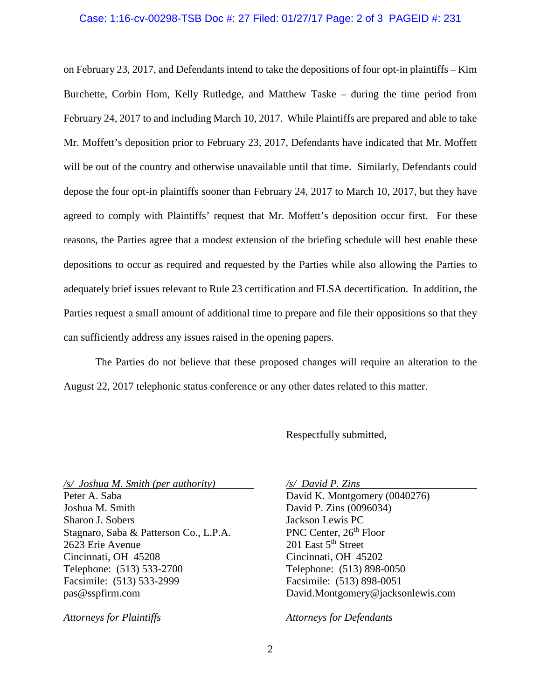## Case: 1:16-cv-00298-TSB Doc #: 27 Filed: 01/27/17 Page: 2 of 3 PAGEID #: 231

on February 23, 2017, and Defendants intend to take the depositions of four opt-in plaintiffs – Kim Burchette, Corbin Hom, Kelly Rutledge, and Matthew Taske – during the time period from February 24, 2017 to and including March 10, 2017. While Plaintiffs are prepared and able to take Mr. Moffett's deposition prior to February 23, 2017, Defendants have indicated that Mr. Moffett will be out of the country and otherwise unavailable until that time. Similarly, Defendants could depose the four opt-in plaintiffs sooner than February 24, 2017 to March 10, 2017, but they have agreed to comply with Plaintiffs' request that Mr. Moffett's deposition occur first. For these reasons, the Parties agree that a modest extension of the briefing schedule will best enable these depositions to occur as required and requested by the Parties while also allowing the Parties to adequately brief issues relevant to Rule 23 certification and FLSA decertification. In addition, the Parties request a small amount of additional time to prepare and file their oppositions so that they can sufficiently address any issues raised in the opening papers.

The Parties do not believe that these proposed changes will require an alteration to the August 22, 2017 telephonic status conference or any other dates related to this matter.

Respectfully submitted,

*/s/ Joshua M. Smith (per authority) /s/ David P. Zins* Peter A. Saba David K. Montgomery (0040276) Joshua M. Smith David P. Zins (0096034) Sharon J. Sobers Jackson Lewis PC Stagnaro, Saba & Patterson Co., L.P.A. PNC Center, 26<sup>th</sup> Floor 2623 Erie Avenue 201 East 5th Street Cincinnati, OH 45208 Cincinnati, OH 45202 Telephone: (513) 533-2700 Telephone: (513) 898-0050 Facsimile: (513) 533-2999 Facsimile: (513) 898-0051 pas@sspfirm.com David.Montgomery@jacksonlewis.com

*Attorneys for Plaintiffs Attorneys for Defendants*